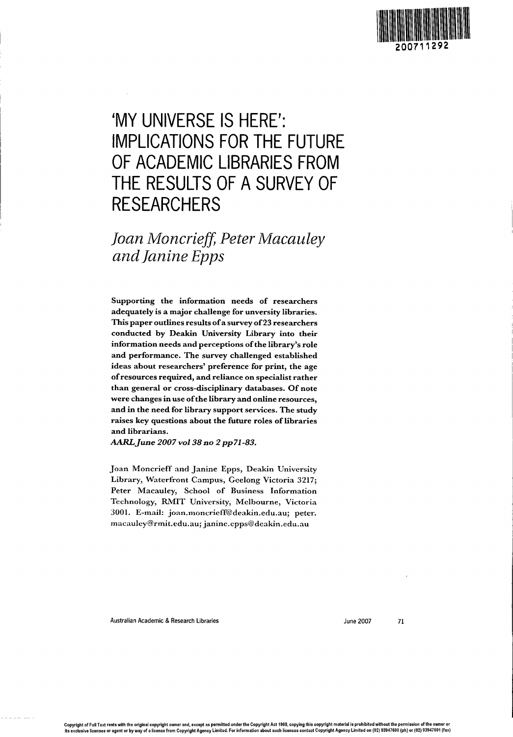

# 'MY UNIVERSE IS HERE': IMPLICATIONS FOR THE FUTURE OF ACADEMIC LIBRARIES FROM THE RESULTS OF A SURVEY OF **RESEARCHERS**

# *loan Moncrieff, .Peter Macauley* and*lanine* Epps

Supporting the information needs of researchers adequately is a major challenge for unversity libraries. This paper outlines results of a survey of 23 researchers conducted by Deakin University Library into their information needs and perceptions of the library's role and performance. The survey challenged established ideas about researchers' preference for print, the age ofresources required, and reliance on specialist rather than general or cross-disciplinary databases. Of note were changes in use of the library and online resources, and in the need for library support services. The study raises key questions about the future roles of libraries and librarians.

*AARL]une 2007 vol* 38 no 2 pp71-83.

Joan Moncrieff and Janine Epps, Deakin University Library, Waterfront Campus, Geelong Victoria 3217; Peter Macauley, School of Business Information Technology, RMIT University, Melbourne, Victoria 3001. E-mail: joan.moncricff@deakin.edu.au; peter. macauley@rmit.edu.au; janine.epps@deakin.edu.au

Australian Academic & Research Libraries June 2007 71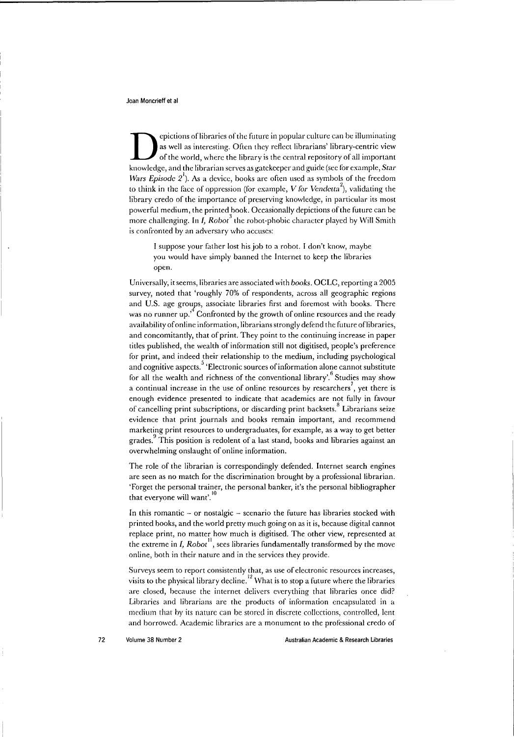epictions of libraries of the future in popular culture can be illuminating as well as interesting. Often they reflect librarians' library-centric view of the world, where the library is the central repository of all important knowledge, and the librarian serves as gatekeeper and guide (see for example, *Star Wars Episode*  $2^1$ *)*. As a device, books are often used as symbols of the freedom to think in the face of oppression (for example,  $V$  for *Vendetta*<sup>2</sup>), validating the library credo of the importance of preserving knowledge, **in** particular its most powerful medium, the printed book. Occasionally depictions of the future can be more challenging. In  $I$ ,  $Robot<sup>3</sup>$  the robot-phobic character played by Will Smith is confronted by an adversary who accuses:

I suppose your father lost his job to a robot. I don't know, maybe you would have simply banned the Internet to keep the libraries open.

Universally, it seems, libraries arc associated with *books.* OCLC, reporting a 2005 survey, noted that 'roughly 70% of respondents, across all geographic regions and U.S. age groups, associate libraries first and foremost with books. There was no runner up.<sup> $A$ </sup> Confronted by the growth of online resources and the ready availability ofonline information, librariansstrongly defend the future oflibraries, and concomitantly, that of print. They point to the continuing increase **in** paper titles published, the wealth of information still not digitised, people's preference for print, and indeed their relationship to the medium, including psychological and cognitive aspects.<sup>5</sup> 'Electronic sources of information alone cannot substitute for all the wealth and richness of the conventional library'.<sup>6</sup> Studies may show a continual increase in the use of online resources by researchers<sup>7</sup>, yet there is enough evidence presented to indicate that academics are not fully in favour of cancelling print subscriptions, or discarding print backsets.<sup>8</sup> Librarians seize evidence that print journals and books remain important, and recommend marketing print resources to undergraduates, for example, as a way to get better grades. This position is redolent of a last stand, books and libraries against an overwhelming onslaught of online information.

The role of the librarian is correspondingly defended. Internet search engines are seen as no match for the discrimination brought by a professional librarian. 'Forget the personal trainer, the personal banker, it's the personal bibliographer that everyone will want'.

**In** this romantic - or nostalgic - scenario the future has libraries stocked with printed books, and the world pretty much going on as it is, because digital cannot replace print, no matter how much is digitised. The other view, represented at the extreme in *I, Robot*<sup>11</sup>, sees libraries fundamentally transformed by the move online, both in their nature and in the services they provide.

Surveys seem to report consistently that, as use of electronic resources increases, visits to the physical library decline.<sup>12</sup> What is to stop a future where the libraries arc closed, because the internet delivers everything that libraries once did? Libraries and librarians are the products of information encapsulated in a medium that by its nature can be stored in discrete collections, controlled, lent and borrowed. Academic libraries are a monument to the professional credo of

72 Volume 38 Number 2 **Australian Academic & Research Libraries** Australian Academic & Research Libraries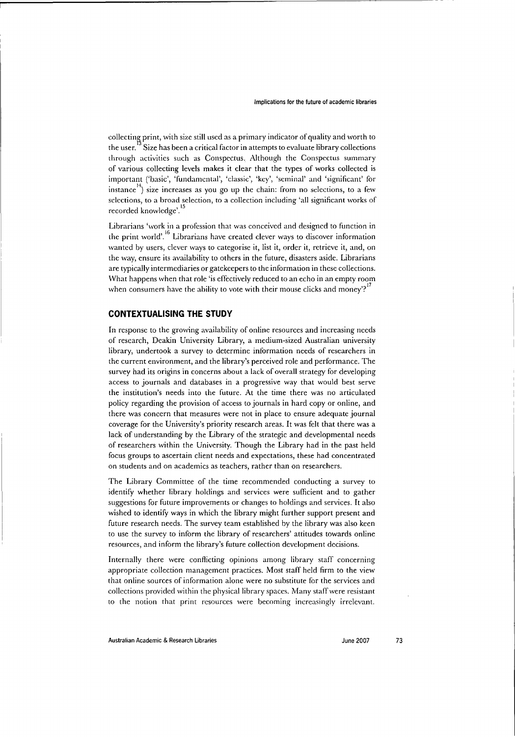collecting print, with size still used as a primary indicator of quality and worth to<br>the user. Size has been a critical factor in attempts to evaluate library collections Size has been a critical factor in attempts to evaluate library collections through activities such as Conspectus. Although the Conspectus summary of various collecting levels makes it clear that the types of works collected is important ('basic', 'fundamental', 'classic', 'key', 'seminal' and 'significant' for instance") size increases as you go up the chain: from no selections, to a few selections, to a broad selection, to a collection including 'all significant works of recorded knowledge'.<sup>15</sup>

Librarians 'work in a profession that was conceived and designed to function in the print world'.<sup>16</sup> Librarians have created clever ways to discover information wanted by users, clever ways to categorise it, list it, order it, retrieve it, and, on the way, ensure its availability to others in the future, disasters aside. Librarians are typically intermediaries or gatekeepers to the information in these collections. What happens when that role 'is effectively reduced to an echo in an empty room when consumers have the ability to vote with their mouse clicks and money'?<sup>17</sup>

# **CONTEXTUALlSING THE STUDY**

In response to the growing availability of online resources and increasing needs of research, Deakin University Library, a medium-sized Australian university library, undertook a survey to determine information needs of researchers in the current environment, and the library's perceived role and performance. The survey had its origins in concerns about a lack of overall strategy for developing access to journals and databases in a progressive way that would best serve the institution's needs into the future. At the time there was no articulated policy regarding the provision of access to journals in hard copy or online, and there was concern that measures were not in place to ensure adequate journal coverage for the University's priority research areas. It was felt that there was a lack of understanding by the Library of the strategic and developmental needs of researchers within the University. Though the Library had in the past held focus groups to ascertain client needs and expectations, these had concentrated on students and on academics as teachers, rather than on researchers.

The Library Committee of the time recommended conducting a survey to identify whether library holdings and services were sufficient and to gather suggestions for future improvements or changes to holdings and services. It also wished to identify ways in which the library might further support present and future research needs. The survey team established by the library was also keen to use the survey to inform the library of researchers' attitudes towards online resources, and inform the library's future collection development decisions.

Internally there were conflicting opinions among library staff concerning appropriate collection management practices. Most staff held firm to the view that online sources of information alone were no substitute for the services and collections provided within the physical library spaces. Many staff were resistant to the notion that print resources were becoming increasingly irrelevant.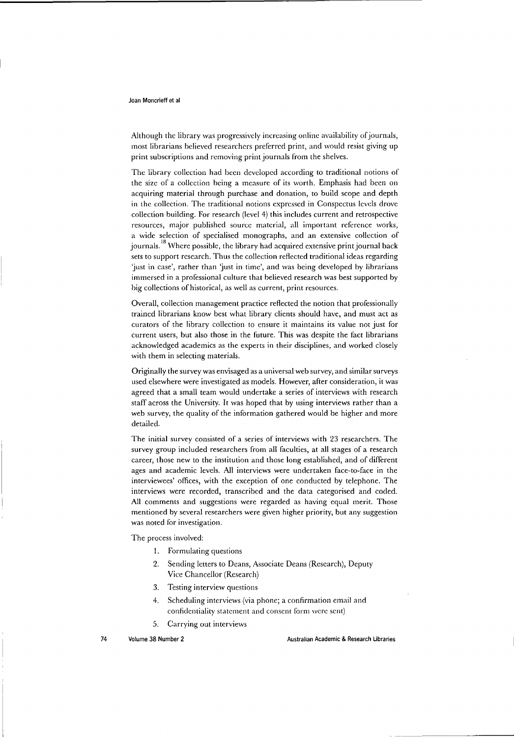Although the library was progressively increasing online availability of journals, most librarians believed researchers preferred print, and would resist giving up print subscriptions and removing print journals from the shelves.

The library collection had been developed according to traditional notions of the size of a collection being a measure of its worth. Emphasis had been on acquiring material through purchase and donation, to build scope and depth in the collection. The traditional notions expressed in Conspectus levels drove collection building. For research (level 4) this includes current and retrospective resources, major published source material, all important reference works, a wide selection of specialised monographs, and an extensive collection of journals.<sup>18</sup> Where possible, the library had acquired extensive print journal back sets to support research. Thus the collection reflected traditional ideas regarding 'just in case', rather than 'just in time', and was being developed by librarians immersed in a professional culture that believed research was best supported by big collections of historical, as well as current, print resources.

Overall, collection management practice reflected the notion that professionally trained librarians know best what library clients should have, and must act as curators of the library collection to ensure it maintains its value not just for current users, but also those in the future. This was despite the fact librarians acknowledged academics as the experts in their disciplines, and worked closely with them in selecting materials.

Originally the survey was envisaged as a universal web survey, and similar surveys used elsewhere were investigated as models. However, after consideration, it was agreed that a small team would undertake a series of interviews with research staff across the University. It was hoped that by using interviews rather than a web survey, the quality of the information gathered would be higher and more detailed.

The initial survey consisted of a series of interviews with 23 researchers. The survey group included researchers from all faculties, at all stages of a research career, those new to the institution and those long established, and of different ages and academic levels. All interviews were undertaken face-to-face in the interviewees' offices, with the exception of one conducted by telephone. The interviews were recorded, transcribed and the data categorised and coded. All comments and suggestions were regarded as having equal merit. Those mentioned by several researchers were given higher priority, but any suggestion was noted for investigation.

The process involved:

- I. Formulating questions
- 2. Sending letters to Deans, Associate Deans (Research), Deputy Vice Chancellor (Research)
- 3. Testing interview questions
- 4. Scheduling interviews (via phone; a confirmation email and confidentiality statement and consent form were sent)
- 5. Carrying out interviews

74 Volume 38 Number 2 **Australian Academic & Research Libraries** Australian Academic & Research Libraries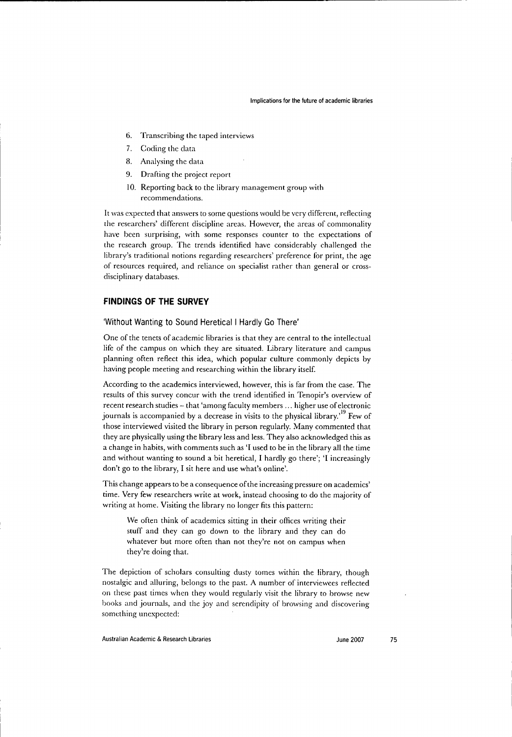- 6. Transcribing the taped interviews
- 7. Coding the data
- 8. Analysing the data
- 9. Drafting the project report
- 10. Reporting back to the library management group with recommendations.

It was expected that answers to some questions would be very different, reflecting the researchers' different discipline areas. However, the areas of commonality have been surprising, with some responses counter to the expectations of the research group. The trends identified have considerably challenged the library's traditional notions regarding researchers' preference for print, the age of resources required, and reliance on specialist rather than general or crossdisciplinary databases.

# **FINDINGS OF THE SURVEY**

#### 'Without Wanting to Sound Heretical I Hardly Go There'

One of the tenets of academic libraries is that they are central to the intellectual life of the campus on which they are situated. Library literature and campus planning often reflect this idea, which popular culture commonly depicts by having people meeting and researching within the library itself

According to the academics interviewed, however, this is far from the case. The results of this survey concur with the trend identified in Tenopir's overview of recent research studies - that 'among faculty members ... higher use of electronic journals is accompanied by a decrease in visits to the physical library.<sup>19</sup> Few of those interviewed visited the library in person regularly. Many commented that they are physically using the library less and less. They also acknowledged this as a change in habits, with comments such as 'I used to be in the library all the time and without wanting to sound a bit heretical, 1 hardly go there'; 'I increasingly don't go to the library, 1 sit here and use what's online'.

This change appears to be a consequence ofthe increasing pressure on academics' time. Very few researchers write at work, instead choosing to do the majority of writing at home. Visiting the library no longer fits this pattern:

We often think of academics sitting in their offices writing their stuff and they can go down to the library and they can do whatever but more often than not they're not on campus when they're doing that.

The depiction of scholars consulting dusty tomes within the library, though nostalgic and alluring, belongs to the past. A number of interviewees reflected on these past times when they would regularly visit the library to browse new books and journals, and the joy and serendipity of browsing and discovering something unexpected:

Australian Academic & Research Libraries **Australian 2007** Australian Academic & Research Libraries **Australian**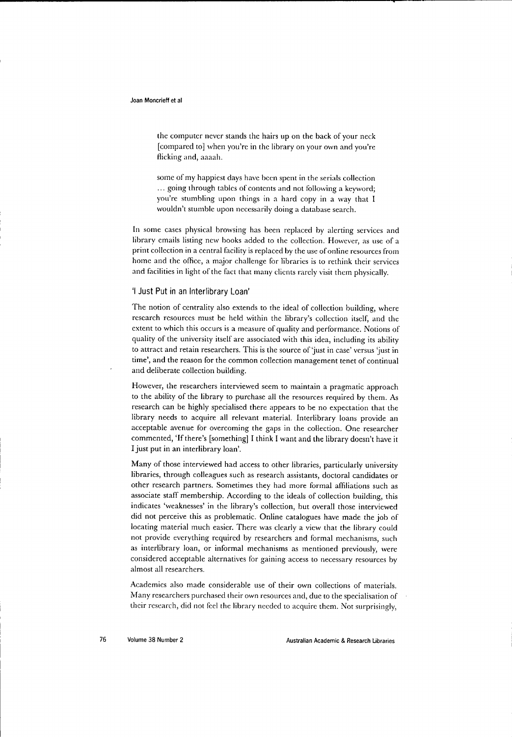the computer never stands the hairs up on the back of your neck [compared to] when you're in the library on your own and you're flicking and, aaaah.

some of my happiest days have been spent in the serials collection ... going through tables of contents and not following a keyword; you're stumbling upon things in a hard copy in a way that I wouldn't stumble upon necessarily doing a database search.

In some cases physical browsing has been replaced by alerting services and library emails listing new books added to the collection. However, as use of a print collection in a central facility is replaced by the use ofonline resources from home and the office, a major challenge for libraries is to rethink their services and facilities in light of the fact that many clients rarely visit them physically.

# 'I Just Put in an Interlibrary Loan'

The notion of centrality also extends to the ideal of collection building, where research resources must be held within the library's collection itself, and the extent to which this occurs is a measure of quality and performance. Notions of quality of the university itself are associated with this idea, including its ability to attract and retain researchers. This is the source of 'just in case' versus 'just in time', and the reason for the common collection management tenet of continual and deliberate collection building.

However, the researchers interviewed seem to maintain a pragmatic approach to the ability of the library to purchase all the resources required by them. As research can be highly specialised there appears to be no expectation that the library needs to acquire all relevant material. Interlibrary loans provide an acceptable avenue for overcoming the gaps in the collection. One researcher commented, 'If there's [something] I think I want and the library doesn't have it I just put in an interlibrary loan'.

Many of those interviewed had access to other libraries, particularly university libraries, through colleagues such as research assistants, doctoral candidates or other research partners. Sometimes they had more formal affiliations such as associate staff membership. According to the ideals of collection building, this indicates 'weaknesses' in the library's collection, but overall those interviewed did not perceive this as problematic. Online catalogues have made the job of locating material much easier. There was clearly a view that the library could not provide everything required by researchers and formal mechanisms, such as interlibrary loan, or informal mechanisms as mentioned previously, were considered acceptable alternatives for gaining access to necessary resources by almost all researchers.

Academics also made considerable use of their own collections of materials. Many researchers purchased their own resources and, due to the specialisation of their research, did not feel the library needed to acquire them. Not surprisingly,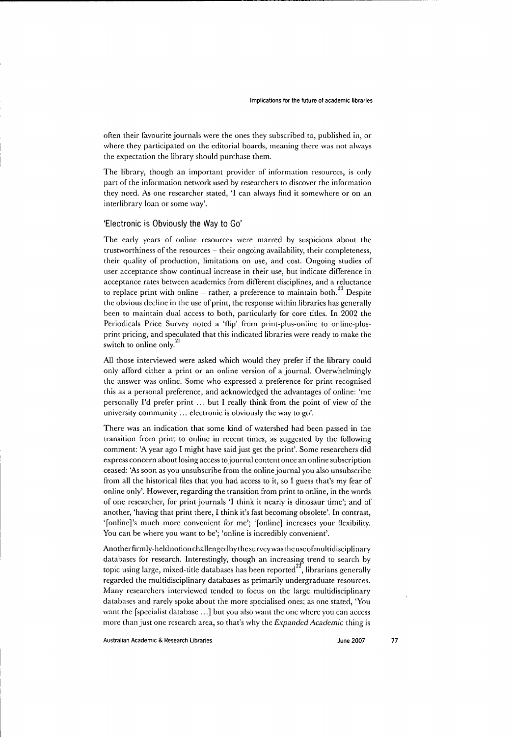often their favourite journals were the ones they subscribed to, published in, or where they participated on the editorial boards, meaning there was not always the expectation the library should purchase them.

The library, though an important provider of information resources, is only part of the information network used by researchers to discover the information they need. As one researcher stated, 'I can always find it somewhere or on an interlibrary loan or some way'.

#### 'Electronic is Obviously the Way to Go'

The early years of online resources were marred by suspicions about the trustworthiness of the resources - their ongoing availability, their completeness, their quality of production, limitations on use, and cost. Ongoing studies of user acceptance show continual increase in their use, but indicate difference in acceptance rates between academics from different disciplines, and a reluctance to replace print with online  $-$  rather, a preference to maintain both.<sup>20</sup> Despite the obvious decline in the use of print, the response within libraries has generally been to maintain dual access to both, particularly for core titles. In 2002 the Periodicals Price Survey noted a 'flip' from print-plus-online to online-plusprint pricing, and speculated that this indicated libraries were ready to make the switch to online only.

All those interviewed were asked which would they prefer if the library could only afford either a print or an online version of a journal. Overwhelmingly the answer was online. Some who expressed a preference for print recognised this as a personal preference, and acknowledged the advantages of online: 'me personally I'd prefer print ... but I really think from the point of view of the university community ... electronic is obviously the way to go'.

There was an indication that some kind of watershed had been passed in the transition from print to online in recent times, as suggested by the following comment: 'A year ago I might have said just get the print'. Some researchers did express concern about losing access to journal content once an online subscription ceased: 'As soon as you unsubscribe from the online journal you also unsubscribe from all the historical files that you had access to it, so I guess that's my fear of online only'. However, regarding the transition from print to online, in the words of one researcher, for print journals 'I think it nearly is dinosaur time'; and of another, 'having that print there, I think it's fast becoming obsolete'. In contrast, '[online]'s much more convenient for me'; '[online] increases your flexibility. You can be where you want to be'; 'online is incredibly convenient'.

AnotherfirmIy-held notion challengedbythe surveywasthe use ofmultidisciplinary databases for research. Interestingly, though an increasing trend to search by topic using large, mixed-title databases has been reported $^{22}$ , librarians generally regarded the multidisciplinary databases as primarily undergraduate resources. Many researchers interviewed tended to focus on the large multidisciplinary databases and rarely spoke about the more specialised ones; as one stated, 'You want the [specialist database ...] but you also want the one where you can access more than just one research area, so that's why the *Expanded Academic* thing is

Australian Academic & Research Libraries **Material Contract 1988** June 2007 77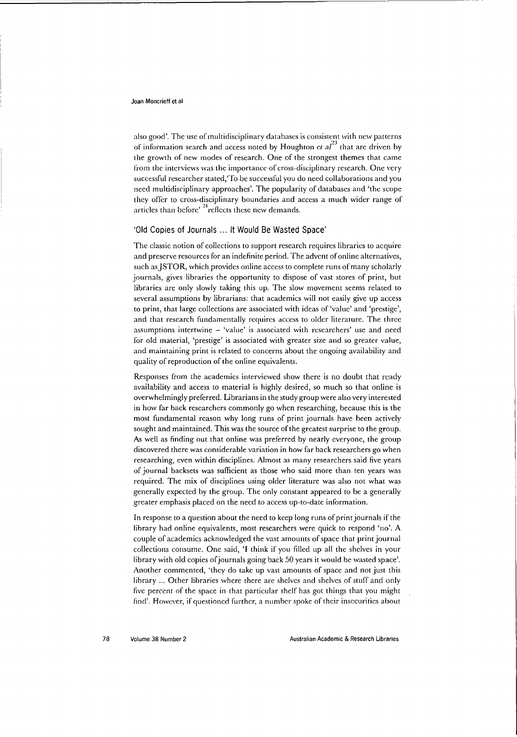also good'. The use of multidisciplinary databases is consistent with new patterns of information search and access noted by Houghton  $et al^{23}$  that are driven by the growth of new modes of research. One of the strongest themes that came from the interviews was the importance of cross-disciplinary research. One very successful researcher stated,'To be successful you do need collaborations and you need multidisciplinary approaches'. The popularity of databases and 'the scope they offer to cross-disciplinary boundaries and access a much wider range of articles than before<sup>,  $^{24}$ </sup> reflects these new demands.

## 'Old Copies of Journals ... It Would Be Wasted Space'

The classic notion of collections to support research requires libraries to acquire and preserve resources for an indefinite period. The advent of online alternatives, such as JSTOR, which provides online access to complete runs of many scholarly journals, gives libraries the opportunity to dispose of vast stores of print, but libraries are only slowly taking this up. The slow movement seems related to several assumptions by librarians: that academics will not easily give up access to print, that large collections are associated with ideas of 'value' and 'prestige', and that research fundamentally requires access to older literature. The three assumptions intertwine - 'value' is associated with researchers' use and need for old material, 'prestige' is associated with greater size and so greater value, and maintaining print is related to concerns about the ongoing availability and quality of reproduction of the online equivalents.

Responses from the academics interviewed show there is no doubt that ready availability and access to material is highly desired, so much so that online is overwhelmingly preferred. Librarians in the study group were also very interested in how far back researchers commonly go when researching, because this is the most fundamental reason why long runs of print journals have been actively sought and maintained. This was the source of the greatest surprise to the group. As well as finding out that online was preferred by nearly everyone, the group discovered there was considerable variation in how far back researchers go when researching, even within disciplines. Almost as many researchers said five years of journal backsets was sufficient as those who said more than ten years was required. The mix of disciplines using older literature was also not what was generally expected by the group. The only constant appeared to be a generally greater emphasis placed on the need to access up-to-date information.

In response to a question about the need to keep long runs of print journals if the library had online equivalents, most researchers were quick to respond 'no'. A couple of academics acknowledged the vast amounts of space that print journal collections consume. One said, 'I think if you filled up all the shelves in your library with old copies of journals going back 50 years it would be wasted space'. Another commented, 'they do take up vast amounts of space and not just this library ... Other libraries where there are shelves and shelves of stuff and only five percent of the space in that particular shelf has got things that you might find'. However, if questioned further, a number spoke of their insecurities about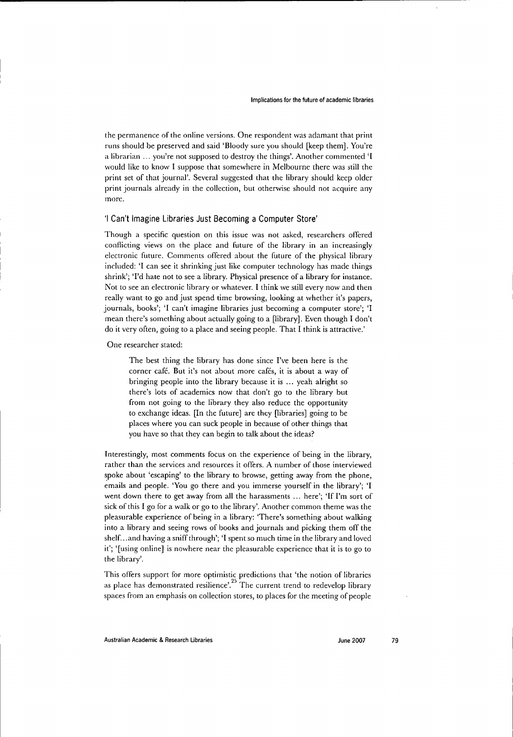the permanence of the online versions. One respondent was adamant that print runs should be preserved and said 'Bloody sure you should [keep them]. You're a librarian ... you're not supposed to destroy the things'. Another commented 'I would like to know I suppose that somewhere in Melbourne there was still the print set of that journal'. Several suggested that the library should keep older print journals already in the collection, but otherwise should not acquire any more.

#### 'I Can't Imagine Libraries Just Becoming a Computer Store'

Though a specific question on this issue was not asked, researchers offered conflicting views on the place and future of the library in an increasingly electronic future. Comments offered about the future of the physical library included: 'I can see it shrinking just like computer technology has made things shrink'; 'I'd hate not to see a library. Physical presence of a library for instance. Not to see an electronic library or whatever. I think we still every now and then really want to go and just spend time browsing, looking at whether it's papers, journals, books'; 'I can't imagine libraries just becoming a computer store'; 'I mean there's something about actually going to a [library]. Even though I don't do it very often, going to a place and seeing people. That I think is attractive.'

## One researcher stated:

The best thing the library has done since I've been here is the corner café. But it's not about more cafés, it is about a way of bringing people into the library because it is ... yeah alright so there's lots of academics now that don't go to the library but from not going to the library they also reduce the opportunity to exchange ideas. [In the future] are they Qibraries] going to be places where you can suck people in because of other things that you have so that they can begin to talk about the ideas?

Interestingly, most comments focus on the experience of being in the library, rather than the services and resources it offers. A number of those interviewed spoke about 'escaping' to the library to browse, getting away from the phone, emails and people. 'You go there and you immerse yourself in the library'; 'I went down there to get away from all the harassments ... here'; 'If I'm sort of sick of this I go for a walk or go to the library'. Another common theme was the pleasurable experience of being in a library: 'There's something about walking into a library and seeing rows of books and journals and picking them off the shelf... and having a sniff through'; 'I spent so much time in the library and loved it'; '[using online] is nowhere near the pleasurable experience that it is to go to the library'.

This offers support for more optimistic predictions that 'the notion of libraries as place has demonstrated resilience<sup>2,5</sup> The current trend to redevelop library spaces from an emphasis on collection stores, to places for the meeting of people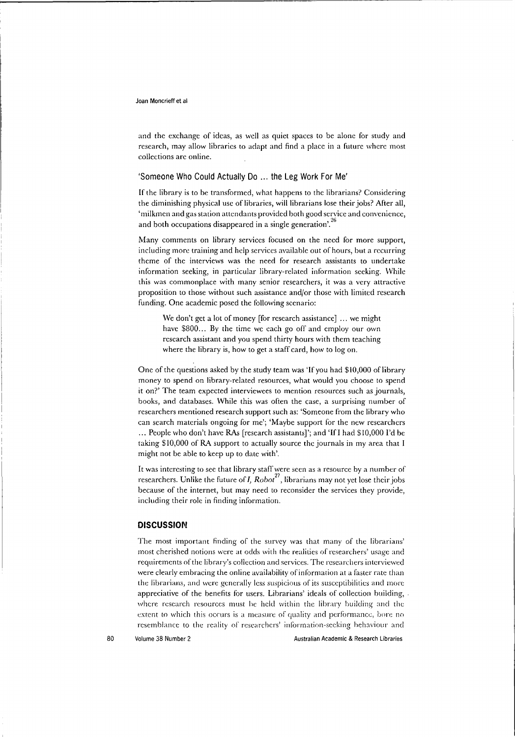and the exchange of ideas, as well as quiet spaces to be alone for study and research, may allow libraries to adapt and find a place in a future where most collections arc online.

#### 'Someone Who Could Actually Do .,. the Leg Work For Me'

If the library is to be transformed, what happens to the librarians? Considering the diminishing physical use of libraries, will librarians lose their jobs? After all, 'milkmen and gas station attendants provided both good service and convenience, and both occupations disappeared in a single generation.<sup>26</sup>

Many comments on library services focused on the need for more support, including more training and help services available out of hours, but a recurring theme of the interviews was the need for research assistants to undertake information seeking, in particular library-related information seeking. While this was commonplace with many senior researchers, it was a very attractive proposition to those without such assistance and/or those with limited research funding. One academic posed the following scenario:

We don't get a lot of money [for research assistance] ... we might have \$800... By the time wc each go off and employ our own research assistant and you spend thirty hours with them teaching where the library is, how to get a staff card, how to log on.

One of the questions asked by the study team was 'If you had \$10,000 of library money to spend on library-related resources, what would you choose to spend it on?' The team expected interviewees to mention resources such as journals, books, and databases. While this was often the case, a surprising number of researchers mentioned research support such as: 'Someone from the library who can search materials ongoing for me'; 'Maybe support for the new researchers ... People who don't have RAs [research assistants]'; and 'If I had \$10,000 I'd be taking \$10,000 of RA support to actually source the journals in my area that I might not be able to keep up to date with'.

It was interesting to see that library staff were seen as a resource by a number of researchers. Unlike the future of *I*,  $R_{\text{obs}}t^2$ , librarians may not yet lose their jobs because of the internet, but may need to reconsider the services they provide, including their role in finding information.

#### **DISCUSSION**

The most important finding of the survey was that many of the librarians' most cherished notions were at odds with the realities of researchers' usage and requirements ofthe library's collection and services. The researchers interviewed were clearly embracing the online availability of information at a faster rate than the librarians, and were generally less suspicious of its susceptibilities and more appreciative of the benefits for users. Librarians' ideals of collection building, where research resources must he held within the library building and the extent to which this occurs is a measure of quality and performance, bore no resemblance to the reality of researchers' information-seeking behaviour and

80 Volume 38 Number 2 **Australian Academic & Research Libraries**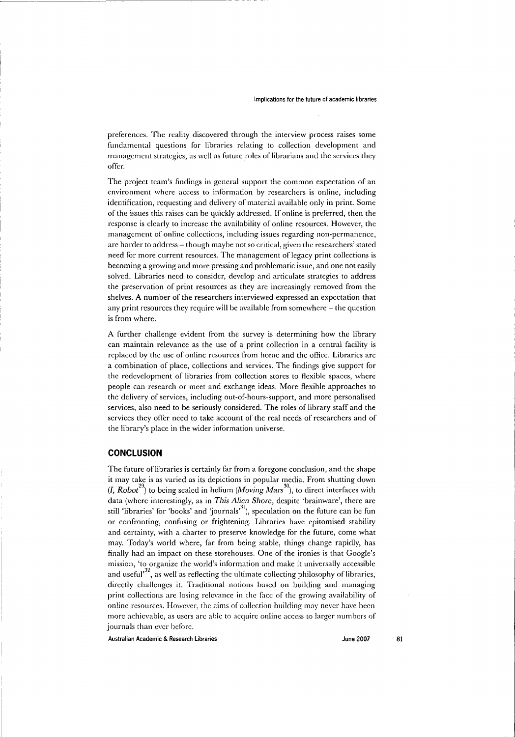preferences. The reality discovered through the interview process raises some fundamental questions for libraries relating to collection development and management strategies, as well as future roles of librarians and the services they offer.

The project team's findings in general support the common expectation of an environment where access to information by researchers is online, including identification, requesting and delivery of material available only in print. Some of the issues this raises can be quickly addressed. If online is preferred, then the response is clearly to increase the availability of online resources. However, the management of online collections, including issues regarding non-permanence, are harder to address - though maybe not so critical, given the researchers' stated need for more current resources. The management of legacy print collections is becoming a growing and more pressing and problematic issue, and one not easily solved. Libraries need to consider, develop and articulate strategies to address the preservation of print resources as they are increasingly removed from the shelves. A number of the researchers interviewed expressed an expectation that any print resources they require will be available from somewhere  $-$  the question is from where.

A further challenge evident from the survey is determining how the library can maintain relevance as the use of a print collection in a central facility is replaced by the use of online resources from home and the office. Libraries are a combination of place, collections and services. The findings give support for the redevelopment of libraries from collection stores to flexible spaces, where people can research or meet and exchange ideas. More flexible approaches to the delivery of services, including out-of-hours-support, and more personalised services, also need to be seriously considered. The roles of library staff and the services they offer need to take account of the real needs of researchers and of the library's place in the wider information universe.

# **CONCLUSION**

----------------------------- - -- - -

The future of libraries is certainly far from a foregone conclusion, and the shape it may take is as varied as its depictions in popular media. From shutting down *(I, Robot<sup>29</sup> )* to being sealed in helium *(Moving Mars'\* to direct interfaces with data (where interestingly, as in *This Alien Shore,* despite 'brainware', there are still 'libraries' for 'books' and 'journals'<sup>31</sup>), speculation on the future can be fun or confronting, confusing or frightening. Libraries have epitomised stability and certainty, with a charter to preserve knowledge for the future, come what may. Today's world where, far from being stable, things change rapidly, has finally had an impact on these storehouses. One of the ironies is that Google's mission, 'to organize the world's information and make it universally accessible and useful<sup>32</sup>, as well as reflecting the ultimate collecting philosophy of libraries, directly challenges it. Traditional notions based on building and managing print collections are losing relevance in the face of the growing availability of online resources. However, the aims of collection building may never have been more achievable, as users arc able to acquire online access to larger numbers of journals than ever before.

Australian Academic & Research Libraries **Australian Academic & Research Libraries** June 2007 81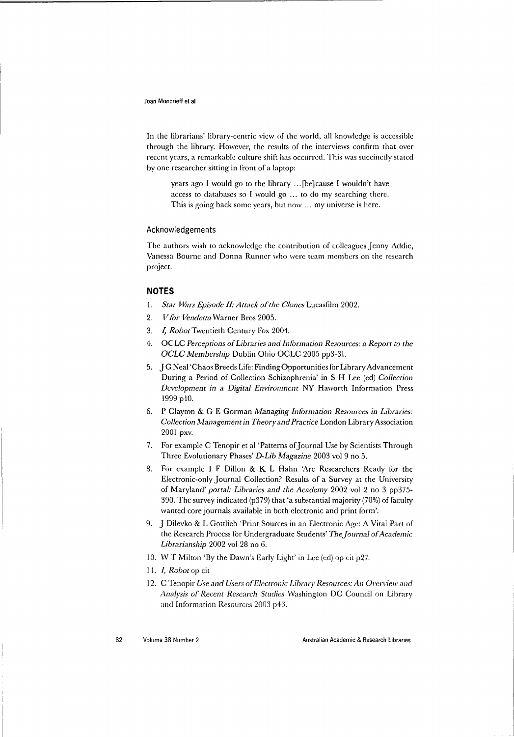In the librarians' library-centric view of the world, all knowledge is accessible through the library. However, the results of the interviews confirm that over recent years, a remarkable culture shift has occurred. This was succinctly stated by one researcher sitting in front of a laptop:

years ago I would go to the library  $\ldots$  [be] cause I wouldn't have access to databases so I would go ... to do my searching there. This is going back some years, but now ... my universe is here.

#### Acknowledgements

The authors wish to acknowledge the contribution of colleagues Jenny Addie, Vanessa Bourne and Donna Runner who were team members on the research project.

# **NOTES**

- 1. *Star Wars Episode II: Attack of the Clones* Lucasfilm 2002.
- *2. V for Vendetta* Warner Bros 2005.
- 3. I, Robot Twentieth Century Fox 2004.
- 4. OCLC *Perceptions ofLibraries and Information Resources:* a *Report to the OCLC Membership* Dublin Ohio OCLC 2005 pp3-31.
- 5. J G Neal 'Chaos Breeds Life: Finding Opportunities for Library Advancement During a Period of Collection Schizophrenia' in S H Lee (cd) *Collection Development in* a *Digital Environment* NY Haworth Information Press 1999 plO.
- 6. P Clayton & G E Gorman *lvlanaging Information Resources in Libraries: Collection lvIanagement in Theory andPractice* London LibraryAssociation 2001 pxv.
- 7. For example C Tenopir et al 'Patterns ofJournal Use by Scientists Through Three Evolutionary Phases' *D-Lib Magazine* 2003 vol 9 no 5.
- 8. For example I F Dillon & K L Hahn 'Are Researchers Ready for the Electronic-only Journal Collection? Results of a Survey at the University of Maryland' *portal: Libraries and the Academy* 2002 vol 2 no 3 pp375- 390. The survey indicated (p379) that 'a substantial majority (70%) of faculty wanted core journals available in both electronic and print form'.
- 9. J Dilevko & L Gottlieb 'Print Sources in an Electronic Age: A Vital Part of the Research Process for Undergraduate Students' *The Journal of Academic Librarianship* 2002 vol 28 no 6.
- 10. W T Milton 'By the Dawn's Early Light' in Lee (cd) op cit p27.
- I I. *I, Robot* op cit
- 12. C Tenopir Use and Users of Electronic Library Resources: An Overview and *Analysis of Recent Research Studies* Washington DC Council on Library and Information Resources 2003 p43.